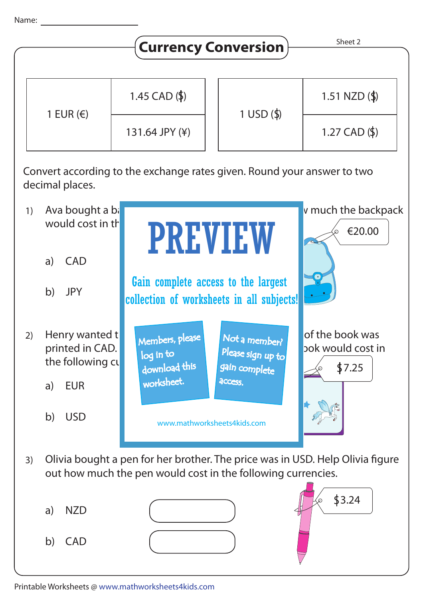

b) USD

3) Olivia bought a pen for her brother. The price was in USD. Help Olivia figure out how much the pen would cost in the following currencies.

www.mathworksheets4kids.com

- a) NZD
- b) CAD